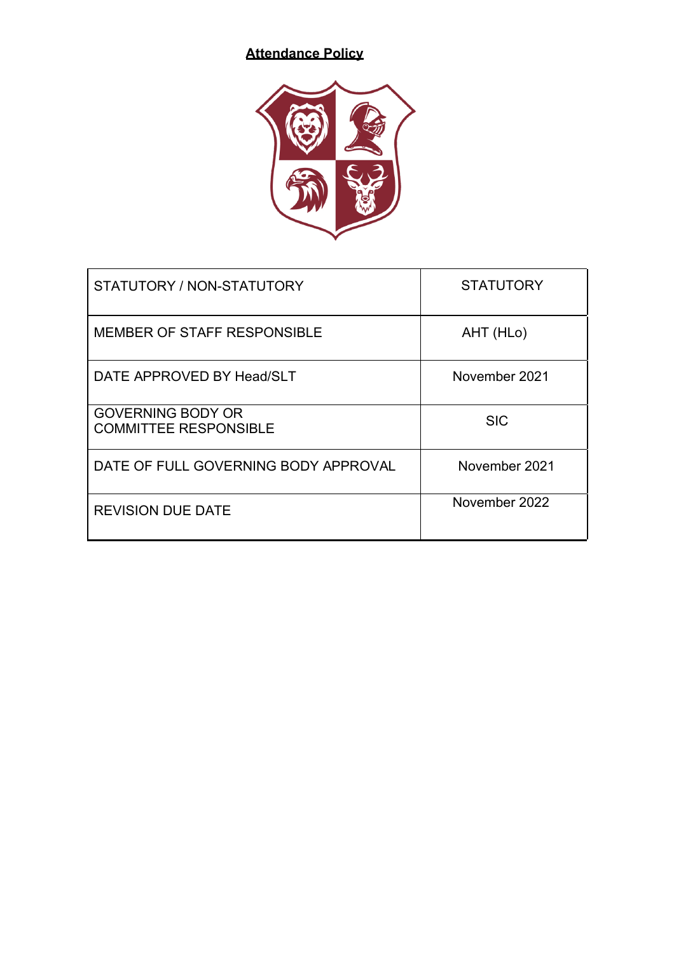# **Attendance Policy**



| STATUTORY / NON-STATUTORY                                | <b>STATUTORY</b> |
|----------------------------------------------------------|------------------|
| MEMBER OF STAFF RESPONSIBLE                              | AHT (HLo)        |
| DATE APPROVED BY Head/SLT                                | November 2021    |
| <b>GOVERNING BODY OR</b><br><b>COMMITTEE RESPONSIBLE</b> | <b>SIC</b>       |
| DATE OF FULL GOVERNING BODY APPROVAL                     | November 2021    |
| <b>REVISION DUE DATE</b>                                 | November 2022    |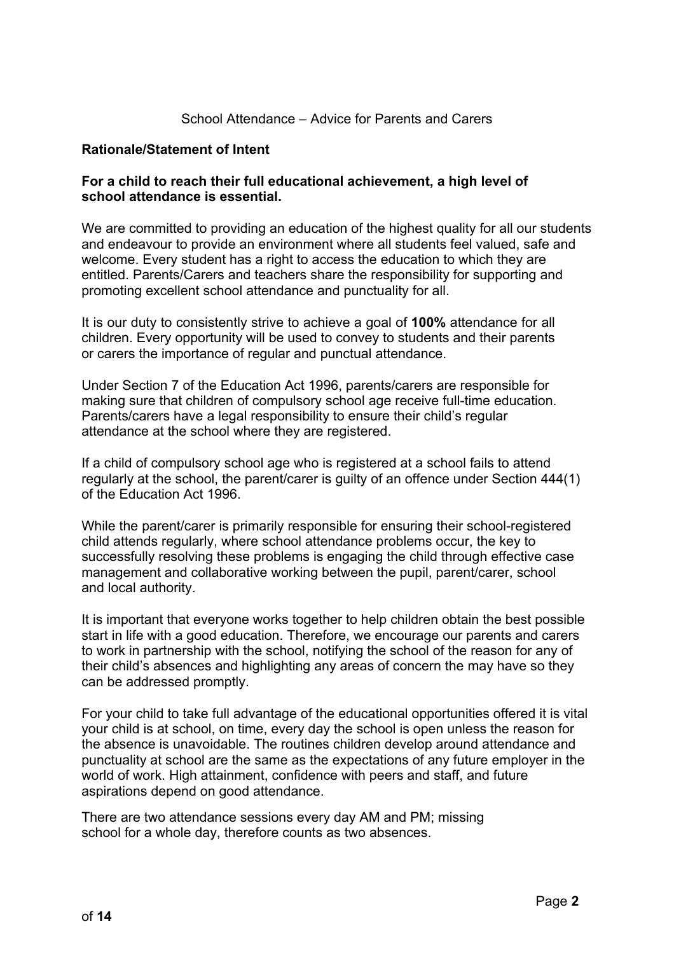#### School Attendance – Advice for Parents and Carers

#### **Rationale/Statement of Intent**

#### **For a child to reach their full educational achievement, a high level of school attendance is essential.**

We are committed to providing an education of the highest quality for all our students and endeavour to provide an environment where all students feel valued, safe and welcome. Every student has a right to access the education to which they are entitled. Parents/Carers and teachers share the responsibility for supporting and promoting excellent school attendance and punctuality for all.

It is our duty to consistently strive to achieve a goal of **100%** attendance for all children. Every opportunity will be used to convey to students and their parents or carers the importance of regular and punctual attendance.

Under Section 7 of the Education Act 1996, parents/carers are responsible for making sure that children of compulsory school age receive full-time education. Parents/carers have a legal responsibility to ensure their child's regular attendance at the school where they are registered.

If a child of compulsory school age who is registered at a school fails to attend regularly at the school, the parent/carer is guilty of an offence under Section 444(1) of the Education Act 1996.

While the parent/carer is primarily responsible for ensuring their school-registered child attends regularly, where school attendance problems occur, the key to successfully resolving these problems is engaging the child through effective case management and collaborative working between the pupil, parent/carer, school and local authority.

It is important that everyone works together to help children obtain the best possible start in life with a good education. Therefore, we encourage our parents and carers to work in partnership with the school, notifying the school of the reason for any of their child's absences and highlighting any areas of concern the may have so they can be addressed promptly.

For your child to take full advantage of the educational opportunities offered it is vital your child is at school, on time, every day the school is open unless the reason for the absence is unavoidable. The routines children develop around attendance and punctuality at school are the same as the expectations of any future employer in the world of work. High attainment, confidence with peers and staff, and future aspirations depend on good attendance.

There are two attendance sessions every day AM and PM; missing school for a whole day, therefore counts as two absences.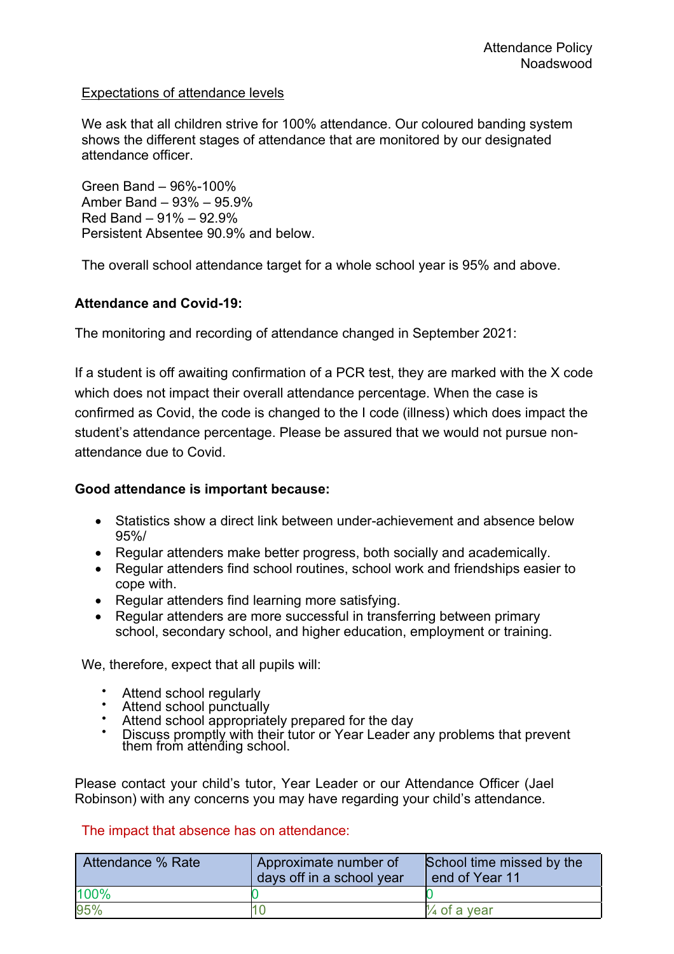# Expectations of attendance levels

We ask that all children strive for 100% attendance. Our coloured banding system shows the different stages of attendance that are monitored by our designated attendance officer.

Green Band – 96%-100% Amber Band – 93% – 95.9% Red Band – 91% – 92.9% Persistent Absentee 90.9% and below.

The overall school attendance target for a whole school year is 95% and above.

# **Attendance and Covid-19:**

The monitoring and recording of attendance changed in September 2021:

If a student is off awaiting confirmation of a PCR test, they are marked with the X code which does not impact their overall attendance percentage. When the case is confirmed as Covid, the code is changed to the I code (illness) which does impact the student's attendance percentage. Please be assured that we would not pursue nonattendance due to Covid.

#### **Good attendance is important because:**

- Statistics show a direct link between under-achievement and absence below 95%/
- Regular attenders make better progress, both socially and academically.
- Regular attenders find school routines, school work and friendships easier to cope with.
- Regular attenders find learning more satisfying.
- Regular attenders are more successful in transferring between primary school, secondary school, and higher education, employment or training.

We, therefore, expect that all pupils will:

- 
- 
- 
- Attend school regularly Attend school punctually Attend school appropriately prepared for the day Discuss promptly with their tutor or Year Leader any problems that prevent them from attending school.

Please contact your child's tutor, Year Leader or our Attendance Officer (Jael Robinson) with any concerns you may have regarding your child's attendance.

#### The impact that absence has on attendance:

| Attendance % Rate | Approximate number of<br>days off in a school year | School time missed by the<br>l end of Year 11 |
|-------------------|----------------------------------------------------|-----------------------------------------------|
| 100%              |                                                    |                                               |
| 95%               |                                                    | $\frac{1}{4}$ of a year                       |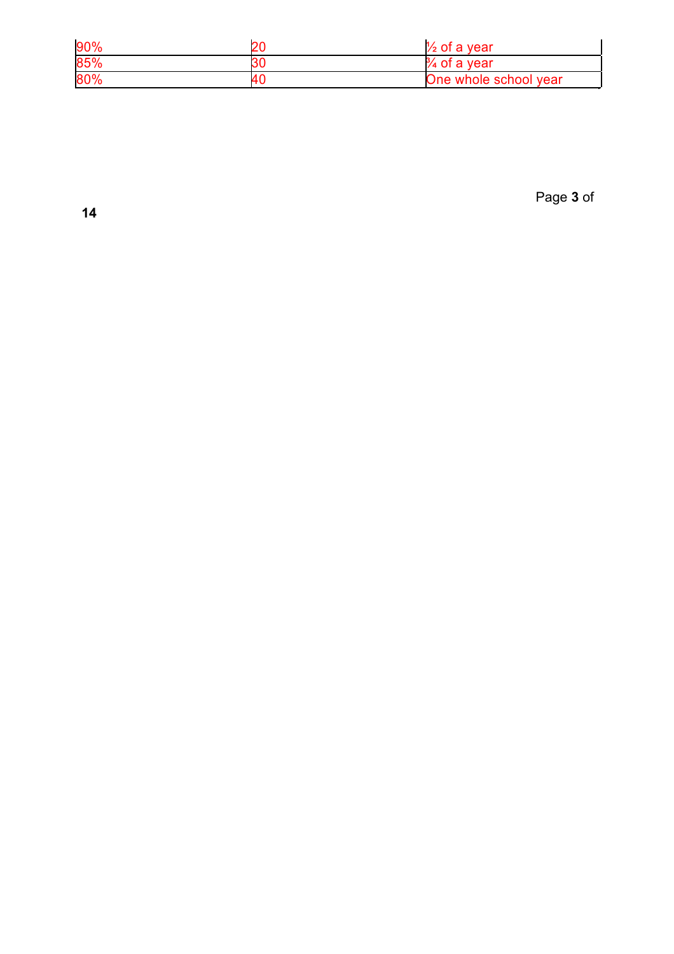| 90% | 20 | $\frac{1}{2}$ of a vear      |
|-----|----|------------------------------|
| 85% | 30 | $\frac{3}{4}$<br>, of a year |
| 80% | 40 | )ne whole school year        |

Page **3** of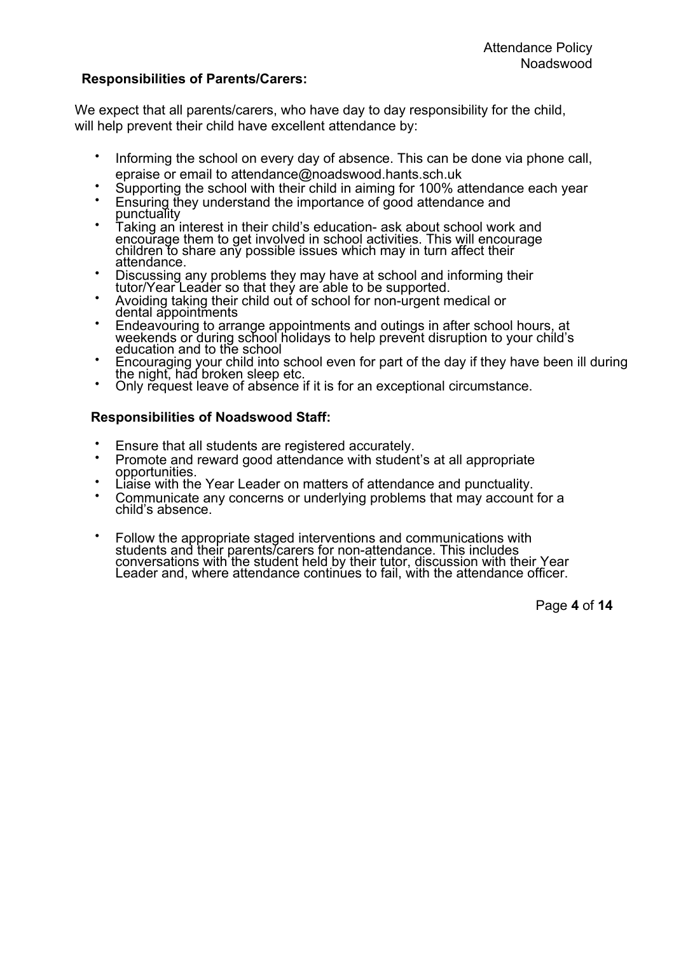#### **Responsibilities of Parents/Carers:**

We expect that all parents/carers, who have day to day responsibility for the child. will help prevent their child have excellent attendance by:

- Informing the school on every day of absence. This can be done via phone call,
- 
- epraise or email to attendance@noadswood.hants.sch.uk<br>Supporting the school with their child in aiming for 100% attendance each year<br>Ensuring they understand the importance of good attendance and<br>punctuality<br>Taking an inte
- encourage them to get involved in school activities. This will encourage children to share any possible issues which may in turn affect their
- 
- 
- Discussing any problems they may have at school and informing their<br>tutor/Year Leader so that they are able to be supported.<br>Avoiding taking their child out of school for non-urgent medical or<br>dental appointments<br>Endeavour
- Encouraging your child into school even for part of the day if they have been ill during<br>the night, had broken sleep etc.<br>• Only request leave of absence if it is for an exceptional circumstance.
- 

## **Responsibilities of Noadswood Staff:**

- 
- Ensure that all students are registered accurately.<br>Promote and reward good attendance with student's at all appropriate<br>opportunities.<br>Liaise with the Year Leader on matters of attendance and punctuality.<br>Communicate any
- 
- 
- Follow the appropriate staged interventions and communications with students and their parents/carers for non-attendance. This includes conversations with the student held by their tutor, discussion with their Year Leader and, where attendance continues to fail, with the attendance officer.

Page **4** of **14**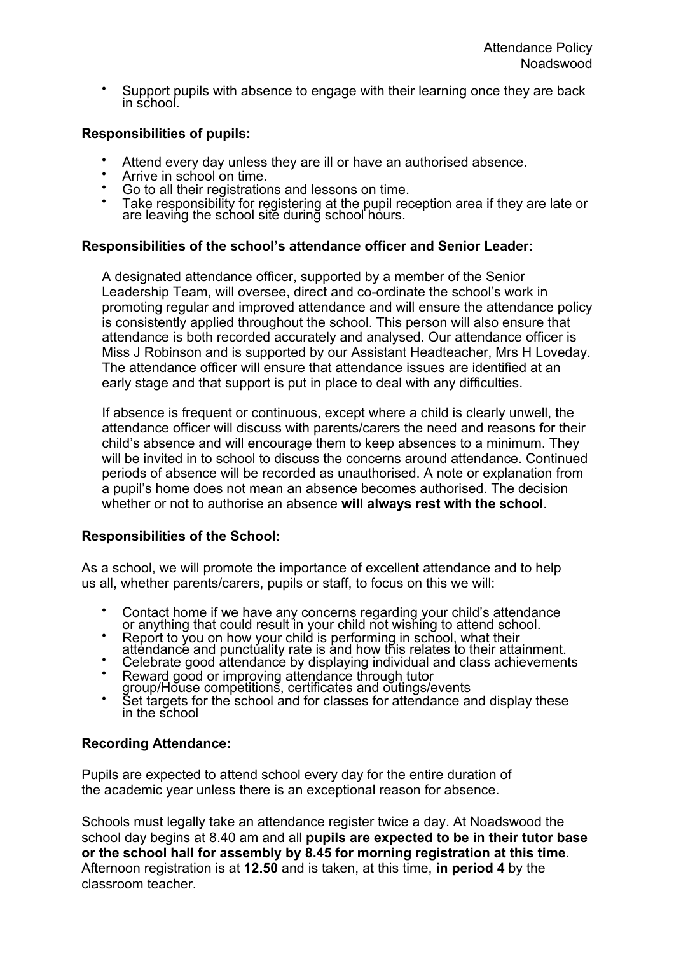• Support pupils with absence to engage with their learning once they are back in school.

# **Responsibilities of pupils:**

- 
- 
- 
- Attend every day unless they are ill or have an authorised absence.<br>Arrive in school on time.<br>Go to all their registrations and lessons on time.<br>Take responsibility for registering at the pupil reception area if they are l are leaving the school site during school hours.

#### **Responsibilities of the school's attendance officer and Senior Leader:**

A designated attendance officer, supported by a member of the Senior Leadership Team, will oversee, direct and co-ordinate the school's work in promoting regular and improved attendance and will ensure the attendance policy is consistently applied throughout the school. This person will also ensure that attendance is both recorded accurately and analysed. Our attendance officer is Miss J Robinson and is supported by our Assistant Headteacher, Mrs H Loveday. The attendance officer will ensure that attendance issues are identified at an early stage and that support is put in place to deal with any difficulties.

If absence is frequent or continuous, except where a child is clearly unwell, the attendance officer will discuss with parents/carers the need and reasons for their child's absence and will encourage them to keep absences to a minimum. They will be invited in to school to discuss the concerns around attendance. Continued periods of absence will be recorded as unauthorised. A note or explanation from a pupil's home does not mean an absence becomes authorised. The decision whether or not to authorise an absence **will always rest with the school**.

#### **Responsibilities of the School:**

As a school, we will promote the importance of excellent attendance and to help us all, whether parents/carers, pupils or staff, to focus on this we will:

- Contact home if we have any concerns regarding your child's attendance or anything that could result in your child not wishing to attend school.<br>• Report to you on how your child is performing in school, what their
- 
- 
- 
- attendance and punctuality rate is and how this relates to their attainment.<br>
Celebrate good attendance by displaying individual and class achievements<br>
Reward good or improving attendance through tutor<br>
group/House compet

#### **Recording Attendance:**

Pupils are expected to attend school every day for the entire duration of the academic year unless there is an exceptional reason for absence.

Schools must legally take an attendance register twice a day. At Noadswood the school day begins at 8.40 am and all **pupils are expected to be in their tutor base or the school hall for assembly by 8.45 for morning registration at this time**. Afternoon registration is at **12.50** and is taken, at this time, **in period 4** by the classroom teacher.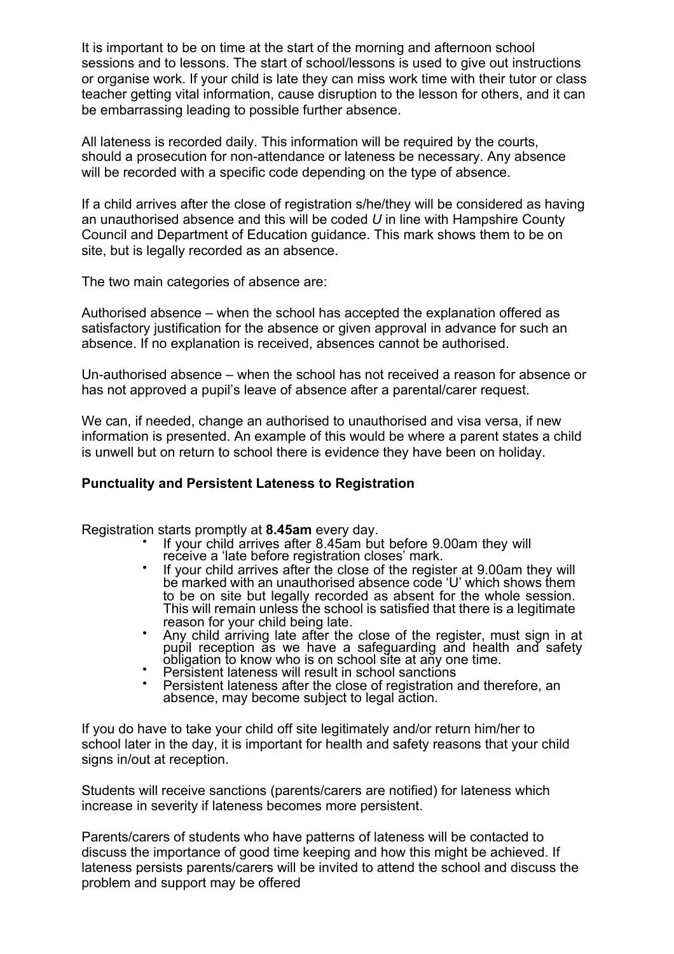It is important to be on time at the start of the morning and afternoon school sessions and to lessons. The start of school/lessons is used to give out instructions or organise work. If your child is late they can miss work time with their tutor or class teacher getting vital information, cause disruption to the lesson for others, and it can be embarrassing leading to possible further absence.

All lateness is recorded daily. This information will be required by the courts, should a prosecution for non-attendance or lateness be necessary. Any absence will be recorded with a specific code depending on the type of absence.

If a child arrives after the close of registration s/he/they will be considered as having an unauthorised absence and this will be coded *U* in line with Hampshire County Council and Department of Education guidance. This mark shows them to be on site, but is legally recorded as an absence.

The two main categories of absence are:

Authorised absence – when the school has accepted the explanation offered as satisfactory justification for the absence or given approval in advance for such an absence. If no explanation is received, absences cannot be authorised.

Un-authorised absence – when the school has not received a reason for absence or has not approved a pupil's leave of absence after a parental/carer request.

We can, if needed, change an authorised to unauthorised and visa versa, if new information is presented. An example of this would be where a parent states a child is unwell but on return to school there is evidence they have been on holiday.

#### **Punctuality and Persistent Lateness to Registration**

- Registration starts promptly at **8.45am** every day.<br>• If your child arrives after 8.45am but before 9.00am they will<br>receive a 'late before registration closes' mark.
	- If your child arrives after the close of the register at 9.00am they will be marked with an unauthorised absence code 'U' which shows them to be on site but legally recorded as absent for the whole session. This will remain unless the school is satisfied that there is a legitimate reason for your child being late.
	- reason for your child being late.<br>• Any child arriving late after the close of the register, must sign in at pupil reception as we have a safeguarding and health and safety
	-
	- obligation to know who is on school site at any one time. Persistent lateness will result in school sanctions Persistent lateness after the close of registration and therefore, an Persistent lateness after the close of registration and therefore, an absence, may become subject to legal action.

If you do have to take your child off site legitimately and/or return him/her to school later in the day, it is important for health and safety reasons that your child signs in/out at reception.

Students will receive sanctions (parents/carers are notified) for lateness which increase in severity if lateness becomes more persistent.

Parents/carers of students who have patterns of lateness will be contacted to discuss the importance of good time keeping and how this might be achieved. If lateness persists parents/carers will be invited to attend the school and discuss the problem and support may be offered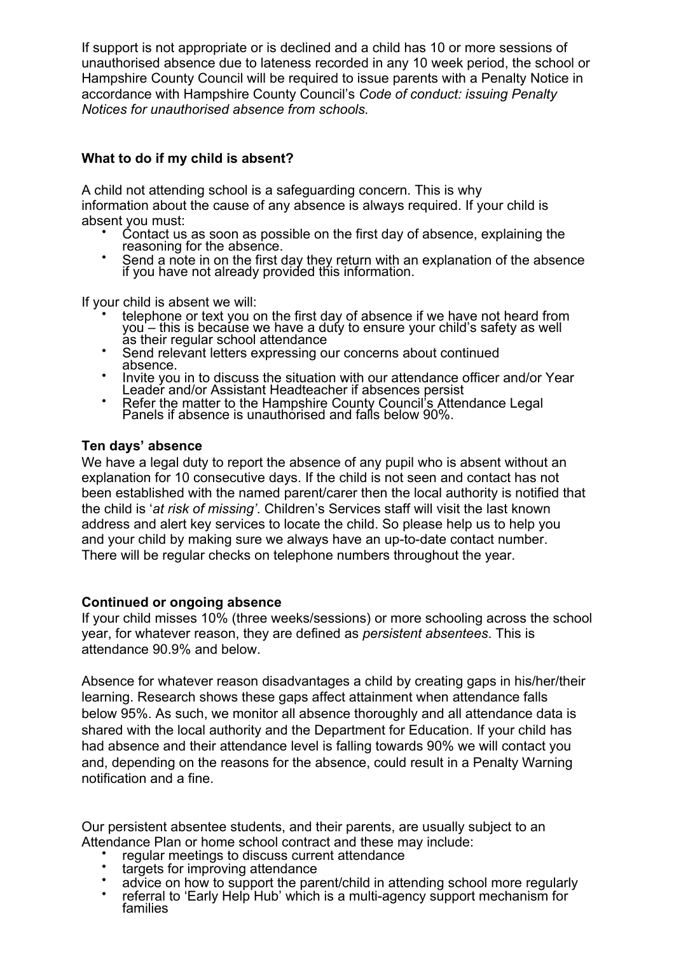If support is not appropriate or is declined and a child has 10 or more sessions of unauthorised absence due to lateness recorded in any 10 week period, the school or Hampshire County Council will be required to issue parents with a Penalty Notice in accordance with Hampshire County Council's *Code of conduct: issuing Penalty Notices for unauthorised absence from schools.*

# **What to do if my child is absent?**

A child not attending school is a safeguarding concern. This is why information about the cause of any absence is always required. If your child is

- absent you must:<br>
Contact us as soon as possible on the first day of absence, explaining the<br>
reasoning for the absence.<br>
Send a note in on the first day they return with an explanation of the absence<br>
if you have not alre
	-

- If your child is absent we will:<br>
 telephone or text you on the first day of absence if we have not heard from you – this is because we have a duty to ensure your child's safety as well<br>as their regular school attendance<br>• Send relevant letters expressing our concerns about continued
	-
	- absence.<br>• Invite you in to discuss the situation with our attendance officer and/or Year
	- Leader and/or Assistant Headteacher if absences persist Refer the matter to the Hampshire County Council's Attendance Legal Refer the matter to the Hampshire County Council's Attendance Legal Panels if absence is unauthorised and falls below 90%.

#### **Ten days' absence**

We have a legal duty to report the absence of any pupil who is absent without an explanation for 10 consecutive days. If the child is not seen and contact has not been established with the named parent/carer then the local authority is notified that the child is '*at risk of missing'*. Children's Services staff will visit the last known address and alert key services to locate the child. So please help us to help you and your child by making sure we always have an up-to-date contact number. There will be regular checks on telephone numbers throughout the year.

#### **Continued or ongoing absence**

If your child misses 10% (three weeks/sessions) or more schooling across the school year, for whatever reason, they are defined as *persistent absentees*. This is attendance 90.9% and below.

Absence for whatever reason disadvantages a child by creating gaps in his/her/their learning. Research shows these gaps affect attainment when attendance falls below 95%. As such, we monitor all absence thoroughly and all attendance data is shared with the local authority and the Department for Education. If your child has had absence and their attendance level is falling towards 90% we will contact you and, depending on the reasons for the absence, could result in a Penalty Warning notification and a fine.

Our persistent absentee students, and their parents, are usually subject to an

- 
- 
- 
- Attendance Plan or home school contract and these may include:<br>
 regular meetings to discuss current attendance<br>
 targets for improving attendance<br>
 advice on how to support the parent/child in attending school more reg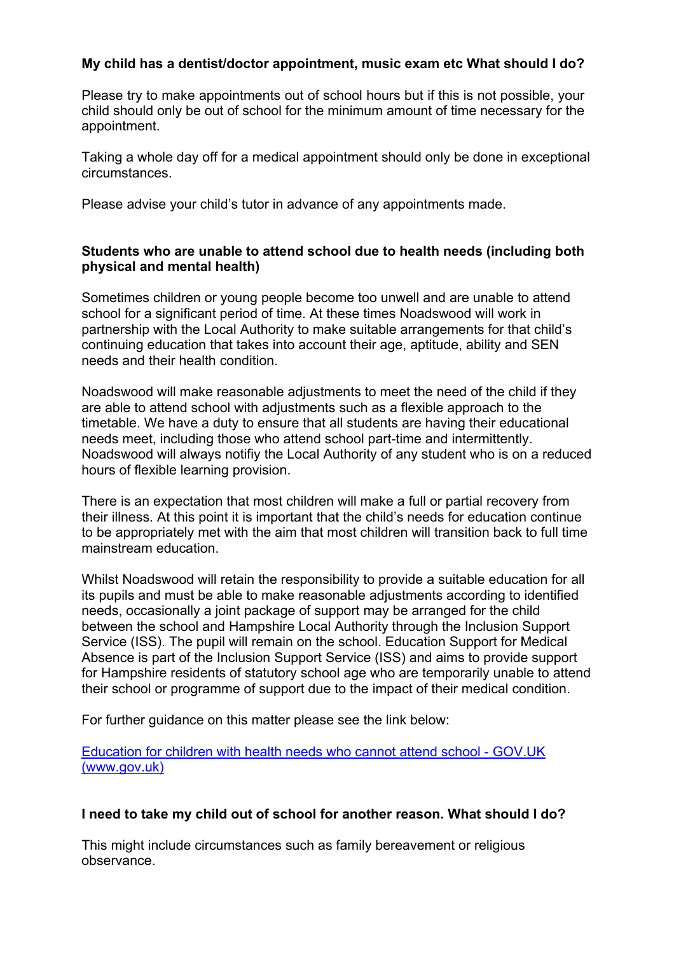# **My child has a dentist/doctor appointment, music exam etc What should I do?**

Please try to make appointments out of school hours but if this is not possible, your child should only be out of school for the minimum amount of time necessary for the appointment.

Taking a whole day off for a medical appointment should only be done in exceptional circumstances.

Please advise your child's tutor in advance of any appointments made.

#### **Students who are unable to attend school due to health needs (including both physical and mental health)**

Sometimes children or young people become too unwell and are unable to attend school for a significant period of time. At these times Noadswood will work in partnership with the Local Authority to make suitable arrangements for that child's continuing education that takes into account their age, aptitude, ability and SEN needs and their health condition.

Noadswood will make reasonable adjustments to meet the need of the child if they are able to attend school with adjustments such as a flexible approach to the timetable. We have a duty to ensure that all students are having their educational needs meet, including those who attend school part-time and intermittently. Noadswood will always notifiy the Local Authority of any student who is on a reduced hours of flexible learning provision.

There is an expectation that most children will make a full or partial recovery from their illness. At this point it is important that the child's needs for education continue to be appropriately met with the aim that most children will transition back to full time mainstream education.

Whilst Noadswood will retain the responsibility to provide a suitable education for all its pupils and must be able to make reasonable adjustments according to identified needs, occasionally a joint package of support may be arranged for the child between the school and Hampshire Local Authority through the Inclusion Support Service (ISS). The pupil will remain on the school. Education Support for Medical Absence is part of the Inclusion Support Service (ISS) and aims to provide support for Hampshire residents of statutory school age who are temporarily unable to attend their school or programme of support due to the impact of their medical condition.

For further guidance on this matter please see the link below:

Education for children with health needs who cannot attend school - GOV.UK (www.gov.uk)

#### **I need to take my child out of school for another reason. What should I do?**

This might include circumstances such as family bereavement or religious observance.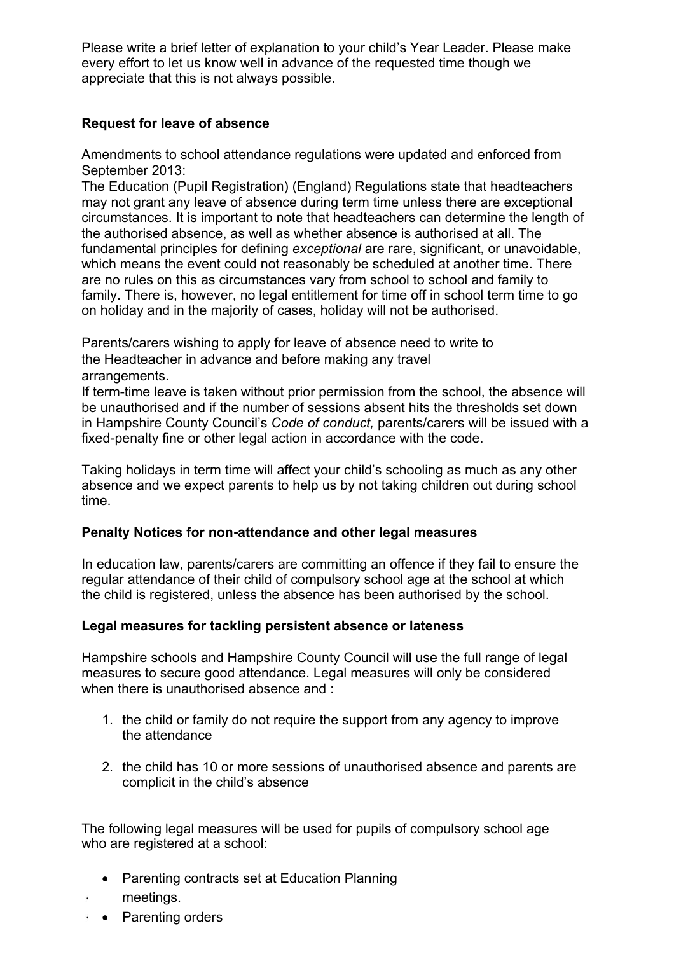Please write a brief letter of explanation to your child's Year Leader. Please make every effort to let us know well in advance of the requested time though we appreciate that this is not always possible.

# **Request for leave of absence**

Amendments to school attendance regulations were updated and enforced from September 2013:

The Education (Pupil Registration) (England) Regulations state that headteachers may not grant any leave of absence during term time unless there are exceptional circumstances. It is important to note that headteachers can determine the length of the authorised absence, as well as whether absence is authorised at all. The fundamental principles for defining *exceptional* are rare, significant, or unavoidable, which means the event could not reasonably be scheduled at another time. There are no rules on this as circumstances vary from school to school and family to family. There is, however, no legal entitlement for time off in school term time to go on holiday and in the majority of cases, holiday will not be authorised.

Parents/carers wishing to apply for leave of absence need to write to the Headteacher in advance and before making any travel arrangements.

If term-time leave is taken without prior permission from the school, the absence will be unauthorised and if the number of sessions absent hits the thresholds set down in Hampshire County Council's *Code of conduct,* parents/carers will be issued with a fixed-penalty fine or other legal action in accordance with the code.

Taking holidays in term time will affect your child's schooling as much as any other absence and we expect parents to help us by not taking children out during school time.

#### **Penalty Notices for non-attendance and other legal measures**

In education law, parents/carers are committing an offence if they fail to ensure the regular attendance of their child of compulsory school age at the school at which the child is registered, unless the absence has been authorised by the school.

#### **Legal measures for tackling persistent absence or lateness**

Hampshire schools and Hampshire County Council will use the full range of legal measures to secure good attendance. Legal measures will only be considered when there is unauthorised absence and :

- 1. the child or family do not require the support from any agency to improve the attendance
- 2. the child has 10 or more sessions of unauthorised absence and parents are complicit in the child's absence

The following legal measures will be used for pupils of compulsory school age who are registered at a school:

- Parenting contracts set at Education Planning
- meetings.
- Parenting orders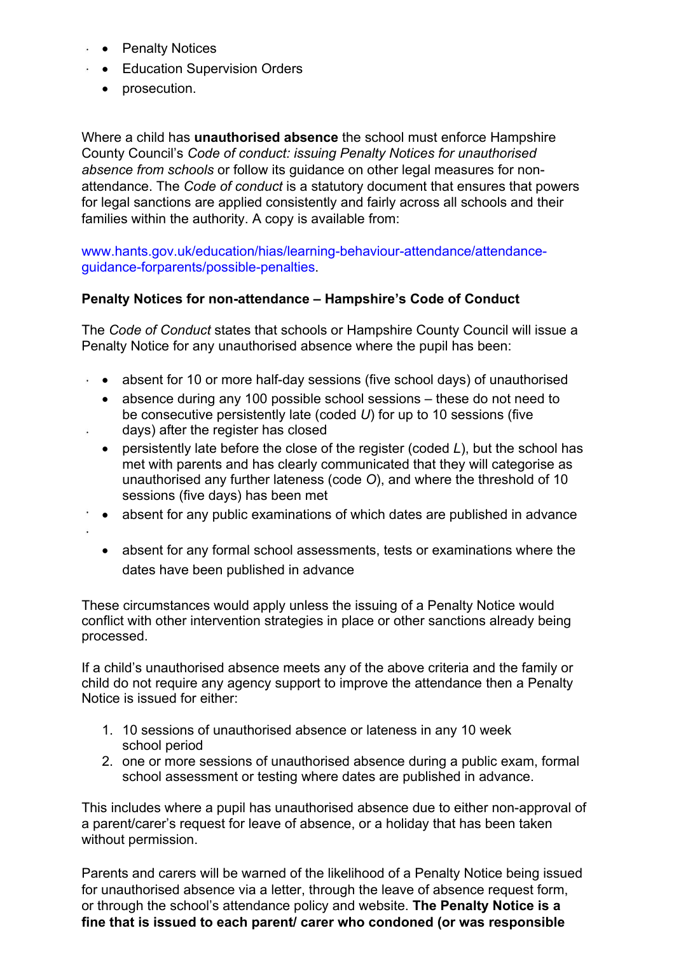- Penalty Notices
- **Education Supervision Orders** 
	- prosecution.

Where a child has **unauthorised absence** the school must enforce Hampshire County Council's *Code of conduct: issuing Penalty Notices for unauthorised absence from schools* or follow its guidance on other legal measures for nonattendance. The *Code of conduct* is a statutory document that ensures that powers for legal sanctions are applied consistently and fairly across all schools and their families within the authority. A copy is available from:

www.hants.gov.uk/education/hias/learning-behaviour-attendance/attendanceguidance-forparents/possible-penalties.

# **Penalty Notices for non-attendance – Hampshire's Code of Conduct**

The *Code of Conduct* states that schools or Hampshire County Council will issue a Penalty Notice for any unauthorised absence where the pupil has been:

- absent for 10 or more half-day sessions (five school days) of unauthorised
	- absence during any 100 possible school sessions these do not need to be consecutive persistently late (coded *U*) for up to 10 sessions (five
- days) after the register has closed

X.

- persistently late before the close of the register (coded *L*), but the school has met with parents and has clearly communicated that they will categorise as unauthorised any further lateness (code *O*), and where the threshold of 10 sessions (five days) has been met
- absent for any public examinations of which dates are published in advance
	- absent for any formal school assessments, tests or examinations where the dates have been published in advance

These circumstances would apply unless the issuing of a Penalty Notice would conflict with other intervention strategies in place or other sanctions already being processed.

If a child's unauthorised absence meets any of the above criteria and the family or child do not require any agency support to improve the attendance then a Penalty Notice is issued for either:

- 1. 10 sessions of unauthorised absence or lateness in any 10 week school period
- 2. one or more sessions of unauthorised absence during a public exam, formal school assessment or testing where dates are published in advance.

This includes where a pupil has unauthorised absence due to either non-approval of a parent/carer's request for leave of absence, or a holiday that has been taken without permission.

Parents and carers will be warned of the likelihood of a Penalty Notice being issued for unauthorised absence via a letter, through the leave of absence request form, or through the school's attendance policy and website. **The Penalty Notice is a fine that is issued to each parent/ carer who condoned (or was responsible**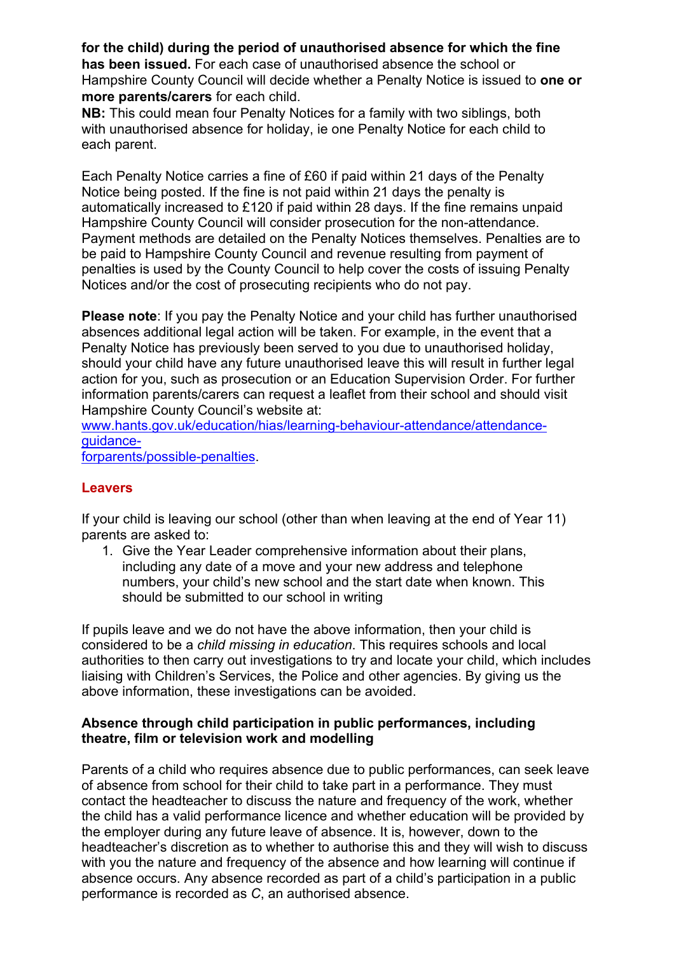**for the child) during the period of unauthorised absence for which the fine has been issued.** For each case of unauthorised absence the school or Hampshire County Council will decide whether a Penalty Notice is issued to **one or more parents/carers** for each child.

**NB:** This could mean four Penalty Notices for a family with two siblings, both with unauthorised absence for holiday, ie one Penalty Notice for each child to each parent.

Each Penalty Notice carries a fine of £60 if paid within 21 days of the Penalty Notice being posted. If the fine is not paid within 21 days the penalty is automatically increased to £120 if paid within 28 days. If the fine remains unpaid Hampshire County Council will consider prosecution for the non-attendance. Payment methods are detailed on the Penalty Notices themselves. Penalties are to be paid to Hampshire County Council and revenue resulting from payment of penalties is used by the County Council to help cover the costs of issuing Penalty Notices and/or the cost of prosecuting recipients who do not pay.

**Please note**: If you pay the Penalty Notice and your child has further unauthorised absences additional legal action will be taken. For example, in the event that a Penalty Notice has previously been served to you due to unauthorised holiday, should your child have any future unauthorised leave this will result in further legal action for you, such as prosecution or an Education Supervision Order. For further information parents/carers can request a leaflet from their school and should visit Hampshire County Council's website at:

www.hants.gov.uk/education/hias/learning-behaviour-attendance/attendanceguidance-

forparents/possible-penalties.

# **Leavers**

If your child is leaving our school (other than when leaving at the end of Year 11) parents are asked to:

1. Give the Year Leader comprehensive information about their plans, including any date of a move and your new address and telephone numbers, your child's new school and the start date when known. This should be submitted to our school in writing

If pupils leave and we do not have the above information, then your child is considered to be a *child missing in education*. This requires schools and local authorities to then carry out investigations to try and locate your child, which includes liaising with Children's Services, the Police and other agencies. By giving us the above information, these investigations can be avoided.

#### **Absence through child participation in public performances, including theatre, film or television work and modelling**

Parents of a child who requires absence due to public performances, can seek leave of absence from school for their child to take part in a performance. They must contact the headteacher to discuss the nature and frequency of the work, whether the child has a valid performance licence and whether education will be provided by the employer during any future leave of absence. It is, however, down to the headteacher's discretion as to whether to authorise this and they will wish to discuss with you the nature and frequency of the absence and how learning will continue if absence occurs. Any absence recorded as part of a child's participation in a public performance is recorded as *C*, an authorised absence.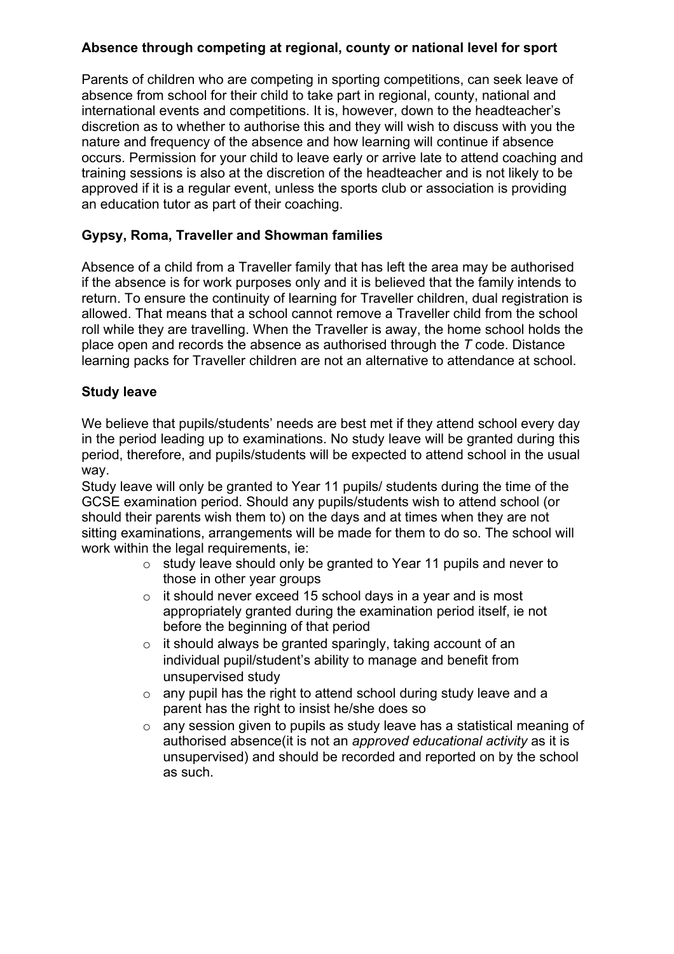# **Absence through competing at regional, county or national level for sport**

Parents of children who are competing in sporting competitions, can seek leave of absence from school for their child to take part in regional, county, national and international events and competitions. It is, however, down to the headteacher's discretion as to whether to authorise this and they will wish to discuss with you the nature and frequency of the absence and how learning will continue if absence occurs. Permission for your child to leave early or arrive late to attend coaching and training sessions is also at the discretion of the headteacher and is not likely to be approved if it is a regular event, unless the sports club or association is providing an education tutor as part of their coaching.

# **Gypsy, Roma, Traveller and Showman families**

Absence of a child from a Traveller family that has left the area may be authorised if the absence is for work purposes only and it is believed that the family intends to return. To ensure the continuity of learning for Traveller children, dual registration is allowed. That means that a school cannot remove a Traveller child from the school roll while they are travelling. When the Traveller is away, the home school holds the place open and records the absence as authorised through the *T* code. Distance learning packs for Traveller children are not an alternative to attendance at school.

#### **Study leave**

We believe that pupils/students' needs are best met if they attend school every day in the period leading up to examinations. No study leave will be granted during this period, therefore, and pupils/students will be expected to attend school in the usual way.

Study leave will only be granted to Year 11 pupils/ students during the time of the GCSE examination period. Should any pupils/students wish to attend school (or should their parents wish them to) on the days and at times when they are not sitting examinations, arrangements will be made for them to do so. The school will work within the legal requirements, ie:

- o study leave should only be granted to Year 11 pupils and never to those in other year groups
- o it should never exceed 15 school days in a year and is most appropriately granted during the examination period itself, ie not before the beginning of that period
- $\circ$  it should always be granted sparingly, taking account of an individual pupil/student's ability to manage and benefit from unsupervised study
- $\circ$  any pupil has the right to attend school during study leave and a parent has the right to insist he/she does so
- o any session given to pupils as study leave has a statistical meaning of authorised absence(it is not an *approved educational activity* as it is unsupervised) and should be recorded and reported on by the school as such.